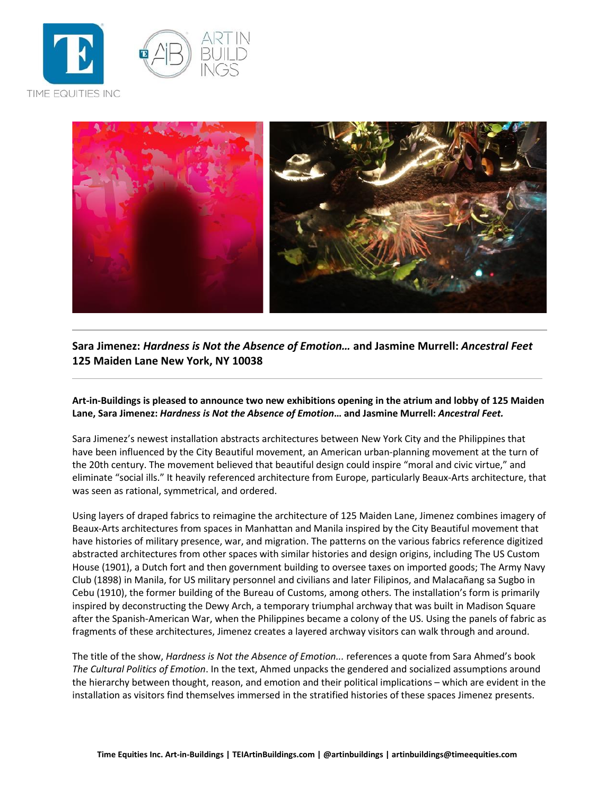



**Sara Jimenez:** *Hardness is Not the Absence of Emotion…* **and Jasmine Murrell:** *Ancestral Feet* **125 Maiden Lane New York, NY 10038**

**Art-in-Buildings is pleased to announce two new exhibitions opening in the atrium and lobby of 125 Maiden Lane, Sara Jimenez:** *Hardness is Not the Absence of Emotion***… and Jasmine Murrell:** *Ancestral Feet.*

Sara Jimenez's newest installation abstracts architectures between New York City and the Philippines that have been influenced by the City Beautiful movement, an American urban-planning movement at the turn of the 20th century. The movement believed that beautiful design could inspire "moral and civic virtue," and eliminate "social ills." It heavily referenced architecture from Europe, particularly Beaux-Arts architecture, that was seen as rational, symmetrical, and ordered.

Using layers of draped fabrics to reimagine the architecture of 125 Maiden Lane, Jimenez combines imagery of Beaux-Arts architectures from spaces in Manhattan and Manila inspired by the City Beautiful movement that have histories of military presence, war, and migration. The patterns on the various fabrics reference digitized abstracted architectures from other spaces with similar histories and design origins, including The US Custom House (1901), a Dutch fort and then government building to oversee taxes on imported goods; The Army Navy Club (1898) in Manila, for US military personnel and civilians and later Filipinos, and Malacañang sa Sugbo in Cebu (1910), the former building of the Bureau of Customs, among others. The installation's form is primarily inspired by deconstructing the Dewy Arch, a temporary triumphal archway that was built in Madison Square after the Spanish-American War, when the Philippines became a colony of the US. Using the panels of fabric as fragments of these architectures, Jimenez creates a layered archway visitors can walk through and around.

The title of the show, *Hardness is Not the Absence of Emotion...* references a quote from Sara Ahmed's book *The Cultural Politics of Emotion*. In the text, Ahmed unpacks the gendered and socialized assumptions around the hierarchy between thought, reason, and emotion and their political implications – which are evident in the installation as visitors find themselves immersed in the stratified histories of these spaces Jimenez presents.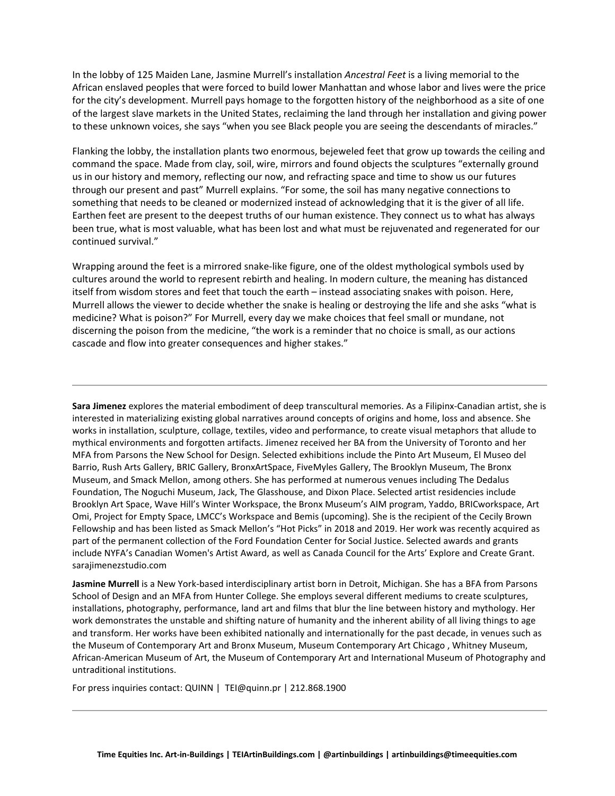In the lobby of 125 Maiden Lane, Jasmine Murrell's installation *Ancestral Feet* is a living memorial to the African enslaved peoples that were forced to build lower Manhattan and whose labor and lives were the price for the city's development. Murrell pays homage to the forgotten history of the neighborhood as a site of one of the largest slave markets in the United States, reclaiming the land through her installation and giving power to these unknown voices, she says "when you see Black people you are seeing the descendants of miracles."

Flanking the lobby, the installation plants two enormous, bejeweled feet that grow up towards the ceiling and command the space. Made from clay, soil, wire, mirrors and found objects the sculptures "externally ground us in our history and memory, reflecting our now, and refracting space and time to show us our futures through our present and past" Murrell explains. "For some, the soil has many negative connections to something that needs to be cleaned or modernized instead of acknowledging that it is the giver of all life. Earthen feet are present to the deepest truths of our human existence. They connect us to what has always been true, what is most valuable, what has been lost and what must be rejuvenated and regenerated for our continued survival."

Wrapping around the feet is a mirrored snake-like figure, one of the oldest mythological symbols used by cultures around the world to represent rebirth and healing. In modern culture, the meaning has distanced itself from wisdom stores and feet that touch the earth – instead associating snakes with poison. Here, Murrell allows the viewer to decide whether the snake is healing or destroying the life and she asks "what is medicine? What is poison?" For Murrell, every day we make choices that feel small or mundane, not discerning the poison from the medicine, "the work is a reminder that no choice is small, as our actions cascade and flow into greater consequences and higher stakes."

**Sara Jimenez** explores the material embodiment of deep transcultural memories. As a Filipinx-Canadian artist, she is interested in materializing existing global narratives around concepts of origins and home, loss and absence. She works in installation, sculpture, collage, textiles, video and performance, to create visual metaphors that allude to mythical environments and forgotten artifacts. Jimenez received her BA from the University of Toronto and her MFA from Parsons the New School for Design. Selected exhibitions include the Pinto Art Museum, El Museo del Barrio, Rush Arts Gallery, BRIC Gallery, BronxArtSpace, FiveMyles Gallery, The Brooklyn Museum, The Bronx Museum, and Smack Mellon, among others. She has performed at numerous venues including The Dedalus Foundation, The Noguchi Museum, Jack, The Glasshouse, and Dixon Place. Selected artist residencies include Brooklyn Art Space, Wave Hill's Winter Workspace, the Bronx Museum's AIM program, Yaddo, BRICworkspace, Art Omi, Project for Empty Space, LMCC's Workspace and Bemis (upcoming). She is the recipient of the Cecily Brown Fellowship and has been listed as Smack Mellon's "Hot Picks" in 2018 and 2019. Her work was recently acquired as part of the permanent collection of the Ford Foundation Center for Social Justice. Selected awards and grants include NYFA's Canadian Women's Artist Award, as well as Canada Council for the Arts' Explore and Create Grant. sarajimenezstudio.com

**Jasmine Murrell** is a New York-based interdisciplinary artist born in Detroit, Michigan. She has a BFA from Parsons School of Design and an MFA from Hunter College. She employs several different mediums to create sculptures, installations, photography, performance, land art and films that blur the line between history and mythology. Her work demonstrates the unstable and shifting nature of humanity and the inherent ability of all living things to age and transform. Her works have been exhibited nationally and internationally for the past decade, in venues such as the Museum of Contemporary Art and Bronx Museum, Museum Contemporary Art Chicago , Whitney Museum, African-American Museum of Art, the Museum of Contemporary Art and International Museum of Photography and untraditional institutions.

For press inquiries contact: QUINN | TEI@quinn.pr | 212.868.1900